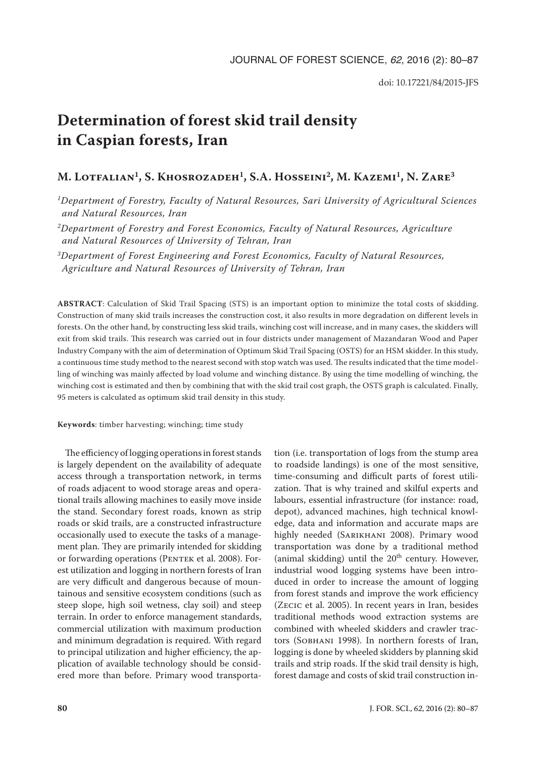# **Determination of forest skid trail density in Caspian forests, Iran**

# M. LOTFALIAN<sup>1</sup>, S. KHOSROZADEH<sup>1</sup>, S.A. HOSSEINI<sup>2</sup>, M. KAZEMI<sup>1</sup>, N. ZARE<sup>3</sup>

*1Department of Forestry, Faculty of Natural Resources, Sari University of Agricultural Sciences and Natural Resources, Iran*

*2Department of Forestry and Forest Economics, Faculty of Natural Resources, Agriculture and Natural Resources of University of Tehran, Iran*

*3Department of Forest Engineering and Forest Economics, Faculty of Natural Resources, Agriculture and Natural Resources of University of Tehran, Iran*

**ABSTRACT**: Calculation of Skid Trail Spacing (STS) is an important option to minimize the total costs of skidding. Construction of many skid trails increases the construction cost, it also results in more degradation on different levels in forests. On the other hand, by constructing less skid trails, winching cost will increase, and in many cases, the skidders will exit from skid trails. This research was carried out in four districts under management of Mazandaran Wood and Paper Industry Company with the aim of determination of Optimum Skid Trail Spacing (OSTS) for an HSM skidder. In this study, a continuous time study method to the nearest second with stop watch was used. The results indicated that the time modelling of winching was mainly affected by load volume and winching distance. By using the time modelling of winching, the winching cost is estimated and then by combining that with the skid trail cost graph, the OSTS graph is calculated. Finally, 95 meters is calculated as optimum skid trail density in this study.

**Keywords**: timber harvesting; winching; time study

The efficiency of logging operations in forest stands is largely dependent on the availability of adequate access through a transportation network, in terms of roads adjacent to wood storage areas and operational trails allowing machines to easily move inside the stand. Secondary forest roads, known as strip roads or skid trails, are a constructed infrastructure occasionally used to execute the tasks of a management plan. They are primarily intended for skidding or forwarding operations (PENTEK et al. 2008). Forest utilization and logging in northern forests of Iran are very difficult and dangerous because of mountainous and sensitive ecosystem conditions (such as steep slope, high soil wetness, clay soil) and steep terrain. In order to enforce management standards, commercial utilization with maximum production and minimum degradation is required. With regard to principal utilization and higher efficiency, the application of available technology should be considered more than before. Primary wood transporta-

tion (i.e. transportation of logs from the stump area to roadside landings) is one of the most sensitive, time-consuming and difficult parts of forest utilization. That is why trained and skilful experts and labours, essential infrastructure (for instance: road, depot), advanced machines, high technical knowledge, data and information and accurate maps are highly needed (Sarikhani 2008). Primary wood transportation was done by a traditional method (animal skidding) until the  $20<sup>th</sup>$  century. However, industrial wood logging systems have been introduced in order to increase the amount of logging from forest stands and improve the work efficiency (Zecic et al. 2005). In recent years in Iran, besides traditional methods wood extraction systems are combined with wheeled skidders and crawler tractors (SOBHANI 1998). In northern forests of Iran, logging is done by wheeled skidders by planning skid trails and strip roads. If the skid trail density is high, forest damage and costs of skid trail construction in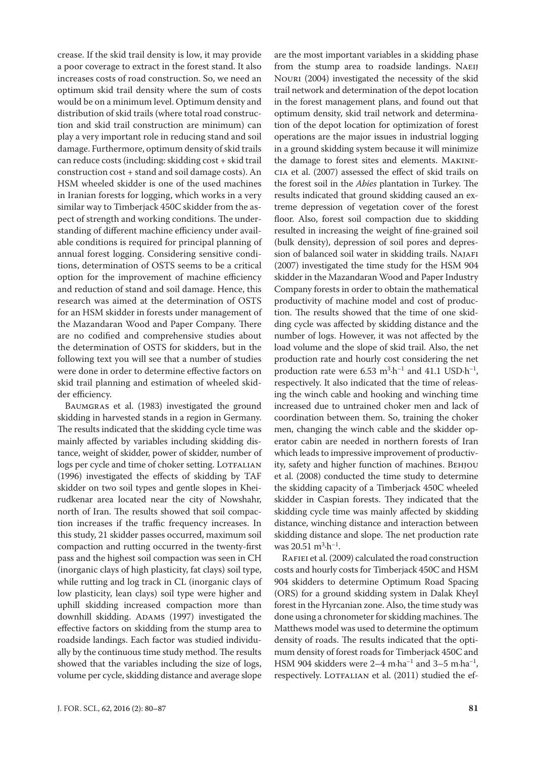crease. If the skid trail density is low, it may provide a poor coverage to extract in the forest stand. It also increases costs of road construction. So, we need an optimum skid trail density where the sum of costs would be on a minimum level. Optimum density and distribution of skid trails (where total road construction and skid trail construction are minimum) can play a very important role in reducing stand and soil damage. Furthermore, optimum density of skid trails can reduce costs (including: skidding cost + skid trail construction cost + stand and soil damage costs). An HSM wheeled skidder is one of the used machines in Iranian forests for logging, which works in a very similar way to Timberjack 450C skidder from the aspect of strength and working conditions. The understanding of different machine efficiency under available conditions is required for principal planning of annual forest logging. Considering sensitive conditions, determination of OSTS seems to be a critical option for the improvement of machine efficiency and reduction of stand and soil damage. Hence, this research was aimed at the determination of OSTS for an HSM skidder in forests under management of the Mazandaran Wood and Paper Company. There are no codified and comprehensive studies about the determination of OSTS for skidders, but in the following text you will see that a number of studies were done in order to determine effective factors on skid trail planning and estimation of wheeled skidder efficiency.

Baumgras et al. (1983) investigated the ground skidding in harvested stands in a region in Germany. The results indicated that the skidding cycle time was mainly affected by variables including skidding distance, weight of skidder, power of skidder, number of logs per cycle and time of choker setting. LOTFALIAN (1996) investigated the effects of skidding by TAF skidder on two soil types and gentle slopes in Kheirudkenar area located near the city of Nowshahr, north of Iran. The results showed that soil compaction increases if the traffic frequency increases. In this study, 21 skidder passes occurred, maximum soil compaction and rutting occurred in the twenty-first pass and the highest soil compaction was seen in CH (inorganic clays of high plasticity, fat clays) soil type, while rutting and log track in CL (inorganic clays of low plasticity, lean clays) soil type were higher and uphill skidding increased compaction more than downhill skidding. ADAMS (1997) investigated the effective factors on skidding from the stump area to roadside landings. Each factor was studied individually by the continuous time study method. The results showed that the variables including the size of logs, volume per cycle, skidding distance and average slope

are the most important variables in a skidding phase from the stump area to roadside landings. NAEIJ Nouri (2004) investigated the necessity of the skid trail network and determination of the depot location in the forest management plans, and found out that optimum density, skid trail network and determination of the depot location for optimization of forest operations are the major issues in industrial logging in a ground skidding system because it will minimize the damage to forest sites and elements. Makinecia et al. (2007) assessed the effect of skid trails on the forest soil in the *Abies* plantation in Turkey. The results indicated that ground skidding caused an extreme depression of vegetation cover of the forest floor. Also, forest soil compaction due to skidding resulted in increasing the weight of fine-grained soil (bulk density), depression of soil pores and depression of balanced soil water in skidding trails. NAJAFI (2007) investigated the time study for the HSM 904 skidder in the Mazandaran Wood and Paper Industry Company forests in order to obtain the mathematical productivity of machine model and cost of production. The results showed that the time of one skidding cycle was affected by skidding distance and the number of logs. However, it was not affected by the load volume and the slope of skid trail. Also, the net production rate and hourly cost considering the net production rate were  $6.53 \text{ m}^3 \cdot \text{h}^{-1}$  and  $41.1 \text{ USD} \cdot \text{h}^{-1}$ , respectively. It also indicated that the time of releasing the winch cable and hooking and winching time increased due to untrained choker men and lack of coordination between them. So, training the choker men, changing the winch cable and the skidder operator cabin are needed in northern forests of Iran which leads to impressive improvement of productivity, safety and higher function of machines. Behjou et al. (2008) conducted the time study to determine the skidding capacity of a Timberjack 450C wheeled skidder in Caspian forests. They indicated that the skidding cycle time was mainly affected by skidding distance, winching distance and interaction between skidding distance and slope. The net production rate was  $20.51 \text{ m}^3 \cdot \text{h}^{-1}$ .

Rafiei et al. (2009) calculated the road construction costs and hourly costs for Timberjack 450C and HSM 904 skidders to determine Optimum Road Spacing (ORS) for a ground skidding system in Dalak Kheyl forest in the Hyrcanian zone. Also, the time study was done using a chronometer for skidding machines. The Matthews model was used to determine the optimum density of roads. The results indicated that the optimum density of forest roads for Timberjack 450C and HSM 904 skidders were  $2-4$  m·ha<sup>-1</sup> and  $3-5$  m·ha<sup>-1</sup>, respectively. LOTFALIAN et al. (2011) studied the ef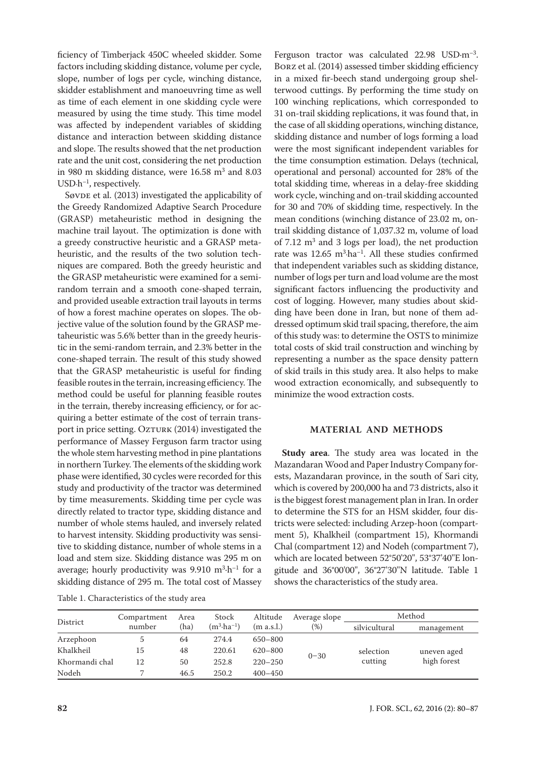ficiency of Timberjack 450C wheeled skidder. Some factors including skidding distance, volume per cycle, slope, number of logs per cycle, winching distance, skidder establishment and manoeuvring time as well as time of each element in one skidding cycle were measured by using the time study. This time model was affected by independent variables of skidding distance and interaction between skidding distance and slope. The results showed that the net production rate and the unit cost, considering the net production in 980 m skidding distance, were  $16.58 \text{ m}^3$  and  $8.03$  $USD·h^{-1}$ , respectively.

Søvde et al. (2013) investigated the applicability of the Greedy Randomized Adaptive Search Procedure (GRASP) metaheuristic method in designing the machine trail layout. The optimization is done with a greedy constructive heuristic and a GRASP metaheuristic, and the results of the two solution techniques are compared. Both the greedy heuristic and the GRASP metaheuristic were examined for a semirandom terrain and a smooth cone-shaped terrain, and provided useable extraction trail layouts in terms of how a forest machine operates on slopes. The objective value of the solution found by the GRASP metaheuristic was 5.6% better than in the greedy heuristic in the semi-random terrain, and 2.3% better in the cone-shaped terrain. The result of this study showed that the GRASP metaheuristic is useful for finding feasible routes in the terrain, increasing efficiency. The method could be useful for planning feasible routes in the terrain, thereby increasing efficiency, or for acquiring a better estimate of the cost of terrain transport in price setting. OzTURK (2014) investigated the performance of Massey Ferguson farm tractor using the whole stem harvesting method in pine plantations in northern Turkey. The elements of the skidding work phase were identified, 30 cycles were recorded for this study and productivity of the tractor was determined by time measurements. Skidding time per cycle was directly related to tractor type, skidding distance and number of whole stems hauled, and inversely related to harvest intensity. Skidding productivity was sensitive to skidding distance, number of whole stems in a load and stem size. Skidding distance was 295 m on average; hourly productivity was  $9.910 \text{ m}^3 \cdot h^{-1}$  for a skidding distance of 295 m. The total cost of Massey

Table 1. Characteristics of the study area

Ferguson tractor was calculated 22.98 USD·m–3. Borz et al. (2014) assessed timber skidding efficiency in a mixed fir-beech stand undergoing group shelterwood cuttings. By performing the time study on 100 winching replications, which corresponded to 31 on-trail skidding replications, it was found that, in the case of all skidding operations, winching distance, skidding distance and number of logs forming a load were the most significant independent variables for the time consumption estimation. Delays (technical, operational and personal) accounted for 28% of the total skidding time, whereas in a delay-free skidding work cycle, winching and on-trail skidding accounted for 30 and 70% of skidding time, respectively. In the mean conditions (winching distance of 23.02 m, ontrail skidding distance of 1,037.32 m, volume of load of  $7.12 \text{ m}^3$  and 3 logs per load), the net production rate was  $12.65 \text{ m}^3 \cdot \text{ha}^{-1}$ . All these studies confirmed that independent variables such as skidding distance, number of logs per turn and load volume are the most significant factors influencing the productivity and cost of logging. However, many studies about skidding have been done in Iran, but none of them addressed optimum skid trail spacing, therefore, the aim of this study was: to determine the OSTS to minimize total costs of skid trail construction and winching by representing a number as the space density pattern of skid trails in this study area. It also helps to make wood extraction economically, and subsequently to minimize the wood extraction costs.

#### **MATERIAL AND METHODS**

**Study area**. The study area was located in the Mazandaran Wood and Paper Industry Company forests, Mazandaran province, in the south of Sari city, which is covered by 200,000 ha and 73 districts, also it is the biggest forest management plan in Iran. In order to determine the STS for an HSM skidder, four districts were selected: including Arzep-hoon (compartment 5), Khalkheil (compartment 15), Khormandi Chal (compartment 12) and Nodeh (compartment 7), which are located between 52°50'20'', 53°37'40''E longitude and 36°00'00'', 36°27'30''N latitude. Table 1 shows the characteristics of the study area.

| District       | Compartment | Area | Stock                 | Altitude    | Average slope | Method               |             |
|----------------|-------------|------|-----------------------|-------------|---------------|----------------------|-------------|
|                | number      | (ha) | $(m^3 \cdot ha^{-1})$ | (m a.s.l.)  | $(\%)$        | silvicultural        | management  |
| Arzephoon      |             | 64   | 274.4                 | 650-800     |               |                      |             |
| Khalkheil      | 15          | 48   | 220.61                | $620 - 800$ | $0 - 30$      | selection<br>cutting | uneven aged |
| Khormandi chal | 12          | 50   | 252.8                 | $220 - 250$ |               |                      | high forest |
| Nodeh          |             | 46.5 | 250.2                 | $400 - 450$ |               |                      |             |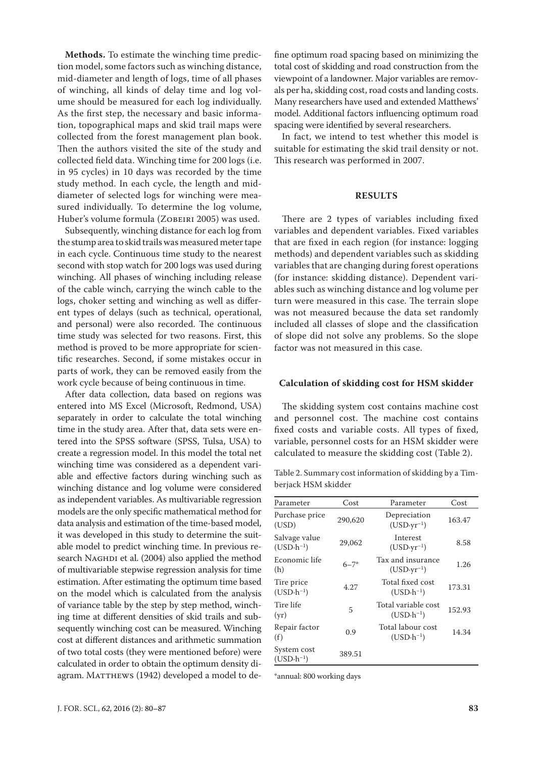**Methods.** To estimate the winching time prediction model, some factors such as winching distance, mid-diameter and length of logs, time of all phases of winching, all kinds of delay time and log volume should be measured for each log individually. As the first step, the necessary and basic information, topographical maps and skid trail maps were collected from the forest management plan book. Then the authors visited the site of the study and collected field data. Winching time for 200 logs (i.e. in 95 cycles) in 10 days was recorded by the time study method. In each cycle, the length and middiameter of selected logs for winching were measured individually. To determine the log volume, Huber's volume formula (ZOBEIRI 2005) was used.

Subsequently, winching distance for each log from the stump area to skid trails was measured meter tape in each cycle. Continuous time study to the nearest second with stop watch for 200 logs was used during winching. All phases of winching including release of the cable winch, carrying the winch cable to the logs, choker setting and winching as well as different types of delays (such as technical, operational, and personal) were also recorded. The continuous time study was selected for two reasons. First, this method is proved to be more appropriate for scientific researches. Second, if some mistakes occur in parts of work, they can be removed easily from the work cycle because of being continuous in time.

After data collection, data based on regions was entered into MS Excel (Microsoft, Redmond, USA) separately in order to calculate the total winching time in the study area. After that, data sets were entered into the SPSS software (SPSS, Tulsa, USA) to create a regression model. In this model the total net winching time was considered as a dependent variable and effective factors during winching such as winching distance and log volume were considered as independent variables. As multivariable regression models are the only specific mathematical method for data analysis and estimation of the time-based model, it was developed in this study to determine the suitable model to predict winching time. In previous research NAGHDI et al. (2004) also applied the method of multivariable stepwise regression analysis for time estimation. After estimating the optimum time based on the model which is calculated from the analysis of variance table by the step by step method, winching time at different densities of skid trails and subsequently winching cost can be measured. Winching cost at different distances and arithmetic summation of two total costs (they were mentioned before) were calculated in order to obtain the optimum density diagram. MATTHEWS (1942) developed a model to de-

fine optimum road spacing based on minimizing the total cost of skidding and road construction from the viewpoint of a landowner. Major variables are removals per ha, skidding cost, road costs and landing costs. Many researchers have used and extended Matthews' model. Additional factors influencing optimum road spacing were identified by several researchers.

In fact, we intend to test whether this model is suitable for estimating the skid trail density or not. This research was performed in 2007.

#### **RESULTS**

There are 2 types of variables including fixed variables and dependent variables. Fixed variables that are fixed in each region (for instance: logging methods) and dependent variables such as skidding variables that are changing during forest operations (for instance: skidding distance). Dependent variables such as winching distance and log volume per turn were measured in this case. The terrain slope was not measured because the data set randomly included all classes of slope and the classification of slope did not solve any problems. So the slope factor was not measured in this case.

#### **Calculation of skidding cost for HSM skidder**

The skidding system cost contains machine cost and personnel cost. The machine cost contains fixed costs and variable costs. All types of fixed, variable, personnel costs for an HSM skidder were calculated to measure the skidding cost (Table 2).

|                     | Table 2. Summary cost information of skidding by a Tim- |  |  |
|---------------------|---------------------------------------------------------|--|--|
| berjack HSM skidder |                                                         |  |  |

| Parameter                            | Cost                                  | Parameter                             | Cost   |
|--------------------------------------|---------------------------------------|---------------------------------------|--------|
| Purchase price<br>(USD)              | 290,620                               | Depreciation<br>$(USD·yr^{-1})$       | 163.47 |
| Salvage value<br>$(USD\cdot h^{-1})$ | Interest<br>29,062<br>$(USD·yr^{-1})$ |                                       | 8.58   |
| Economic life<br>(h)                 | $6 - 7*$                              | Tax and insurance<br>$(USD·yr^{-1})$  | 1.26   |
| Tire price<br>$(USD\cdot h^{-1})$    | 4.27                                  | Total fixed cost<br>$(USD·h^{-1})$    | 173.31 |
| Tire life<br>(yr)                    | 5                                     | Total variable cost<br>$(USD·h^{-1})$ | 152.93 |
| Repair factor<br>0.9<br>(f)          |                                       | Total labour cost<br>$(USD·h^{-1})$   | 14.34  |
| System cost<br>$(USD\cdot h^{-1})$   | 389.51                                |                                       |        |

\*annual: 800 working days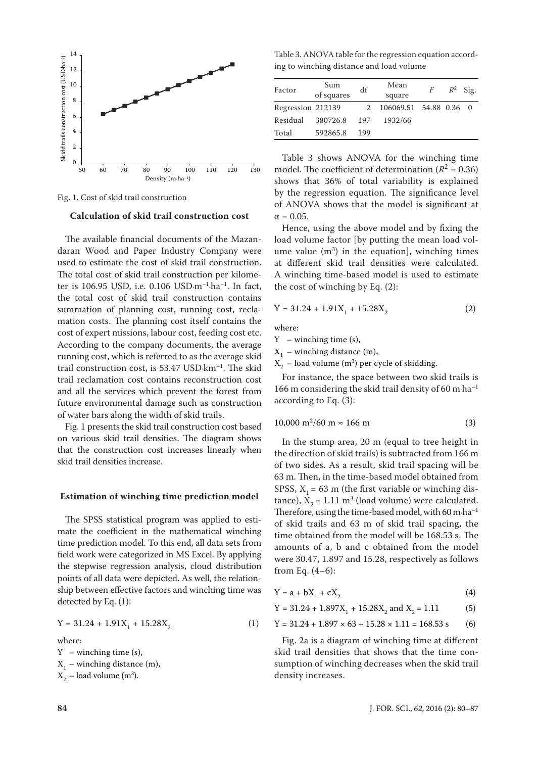

Fig. 1. Cost of skid trail construction

#### **Calculation of skid trail construction cost**

The available financial documents of the Mazandaran Wood and Paper Industry Company were used to estimate the cost of skid trail construction. The total cost of skid trail construction per kilometer is 106.95 USD, i.e.  $0.106$  USD $\cdot$ m<sup>-1</sup> $\cdot$ ha<sup>-1</sup>. In fact, the total cost of skid trail construction contains summation of planning cost, running cost, reclamation costs. The planning cost itself contains the cost of expert missions, labour cost, feeding cost etc. According to the company documents, the average running cost, which is referred to as the average skid trail construction cost, is 53.47 USD·km–1. The skid trail reclamation cost contains reconstruction cost and all the services which prevent the forest from future environmental damage such as construction of water bars along the width of skid trails.

Fig. 1 presents the skid trail construction cost based on various skid trail densities. The diagram shows that the construction cost increases linearly when skid trail densities increase.

#### **Estimation of winching time prediction model**

The SPSS statistical program was applied to estimate the coefficient in the mathematical winching time prediction model. To this end, all data sets from field work were categorized in MS Excel. By applying the stepwise regression analysis, cloud distribution points of all data were depicted. As well, the relationship between effective factors and winching time was detected by Eq. (1):

$$
Y = 31.24 + 1.91X_1 + 15.28X_2 \tag{1}
$$

where:

 $Y$  – winching time (s),  $X_1$  – winching distance (m),

 $X_2$  – load volume (m<sup>3</sup>).

Table 3. ANOVA table for the regression equation according to winching distance and load volume

| Factor            | Sum<br>of squares | df          | Mean<br>square         | $\overline{F}$ | $R^2$ Sig. |  |
|-------------------|-------------------|-------------|------------------------|----------------|------------|--|
| Regression 212139 |                   | $2^{\circ}$ | 106069.51 54.88 0.36 0 |                |            |  |
| Residual          | 380726.8          | 197         | 1932/66                |                |            |  |
| Total             | 592865.8          | 199         |                        |                |            |  |

Table 3 shows ANOVA for the winching time model. The coefficient of determination ( $R^2$  = 0.36) shows that 36% of total variability is explained by the regression equation. The significance level of ANOVA shows that the model is significant at  $\alpha = 0.05$ .

Hence, using the above model and by fixing the load volume factor [by putting the mean load volume value  $(m^3)$  in the equation], winching times at different skid trail densities were calculated. A winching time-based model is used to estimate the cost of winching by Eq. (2):

$$
Y = 31.24 + 1.91X_1 + 15.28X_2 \tag{2}
$$

where:

$$
Y - \text{winching time (s),}
$$

 $X_1$  – winching distance (m),

 $X<sub>2</sub>$  – load volume (m<sup>3</sup>) per cycle of skidding.

For instance, the space between two skid trails is 166 m considering the skid trail density of 60 m·ha–1 according to Eq. (3):

$$
10,000 \text{ m}^2/60 \text{ m} \approx 166 \text{ m} \tag{3}
$$

In the stump area, 20 m (equal to tree height in the direction of skid trails) is subtracted from 166 m of two sides. As a result, skid trail spacing will be 63 m. Then, in the time-based model obtained from SPSS,  $X_1 = 63$  m (the first variable or winching distance),  $X_2 = 1.11 \text{ m}^3$  (load volume) were calculated. Therefore, using the time-based model, with 60 m·ha–1 of skid trails and 63 m of skid trail spacing, the time obtained from the model will be 168.53 s. The amounts of a, b and c obtained from the model were 30.47, 1.897 and 15.28, respectively as follows from Eq. (4–6):

$$
Y = a + bX_1 + cX_2 \tag{4}
$$

$$
Y = 31.24 + 1.897X_1 + 15.28X_2 \text{ and } X_2 = 1.11
$$
 (5)

$$
Y = 31.24 + 1.897 \times 63 + 15.28 \times 1.11 = 168.53 s
$$
 (6)

Fig. 2a is a diagram of winching time at different skid trail densities that shows that the time consumption of winching decreases when the skid trail density increases.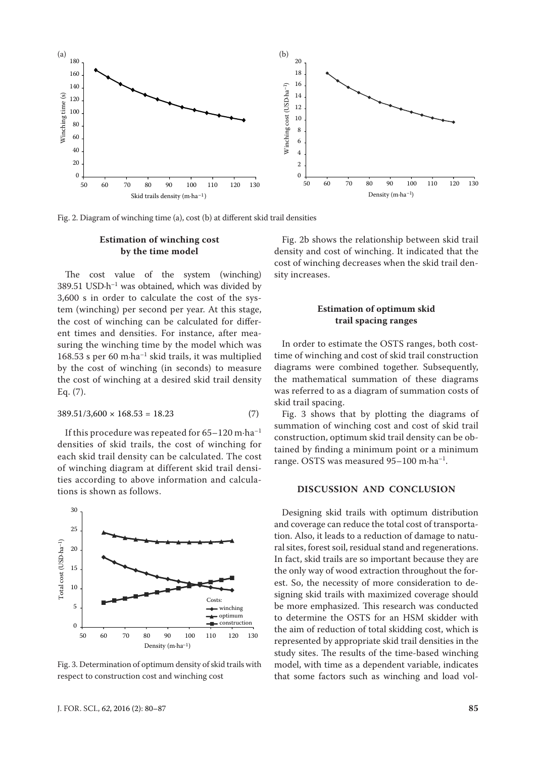

Fig. 2. Diagram of winching time (a), cost (b) at different skid trail densities

#### **Estimation of winching cost by the time model**

The cost value of the system (winching)  $389.51$  USD·h<sup>-1</sup> was obtained, which was divided by 3,600 s in order to calculate the cost of the system (winching) per second per year. At this stage, the cost of winching can be calculated for different times and densities. For instance, after measuring the winching time by the model which was 168.53 s per 60 m·ha<sup>-1</sup> skid trails, it was multiplied by the cost of winching (in seconds) to measure the cost of winching at a desired skid trail density Eq. (7).

$$
389.51/3,600 \times 168.53 = 18.23 \tag{7}
$$

If this procedure was repeated for 65–120 m·ha–1 densities of skid trails, the cost of winching for each skid trail density can be calculated. The cost of winching diagram at different skid trail densities according to above information and calculations is shown as follows.



Fig. 3. Determination of optimum density of skid trails with respect to construction cost and winching cost

Fig. 2b shows the relationship between skid trail density and cost of winching. It indicated that the cost of winching decreases when the skid trail density increases.

## **Estimation of optimum skid trail spacing ranges**

In order to estimate the OSTS ranges, both costtime of winching and cost of skid trail construction diagrams were combined together. Subsequently, the mathematical summation of these diagrams was referred to as a diagram of summation costs of skid trail spacing.

Fig. 3 shows that by plotting the diagrams of summation of winching cost and cost of skid trail construction, optimum skid trail density can be obtained by finding a minimum point or a minimum range. OSTS was measured 95–100 m·ha–1.

## **DISCUSSION AND CONCLUSION**

Designing skid trails with optimum distribution and coverage can reduce the total cost of transportation. Also, it leads to a reduction of damage to natural sites, forest soil, residual stand and regenerations. In fact, skid trails are so important because they are the only way of wood extraction throughout the forest. So, the necessity of more consideration to designing skid trails with maximized coverage should be more emphasized. This research was conducted to determine the OSTS for an HSM skidder with the aim of reduction of total skidding cost, which is represented by appropriate skid trail densities in the study sites. The results of the time-based winching model, with time as a dependent variable, indicates that some factors such as winching and load vol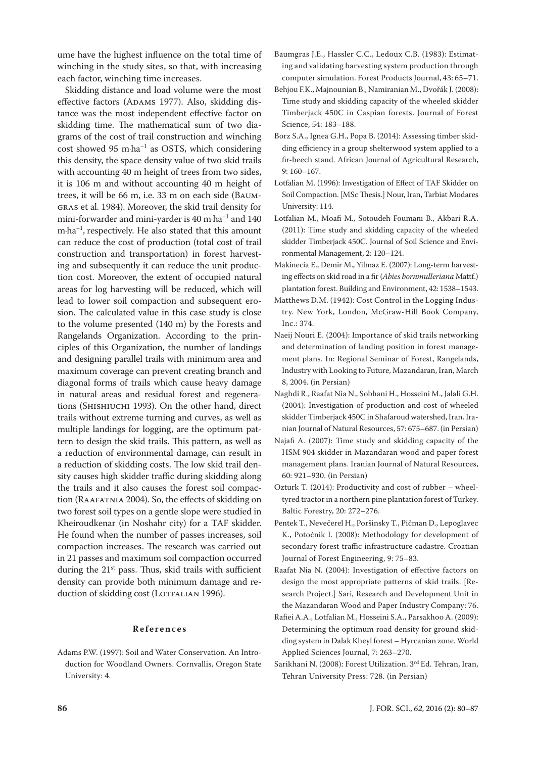ume have the highest influence on the total time of winching in the study sites, so that, with increasing each factor, winching time increases.

Skidding distance and load volume were the most effective factors (ADAMS 1977). Also, skidding distance was the most independent effective factor on skidding time. The mathematical sum of two diagrams of the cost of trail construction and winching cost showed 95 m·ha–1 as OSTS, which considering this density, the space density value of two skid trails with accounting 40 m height of trees from two sides, it is 106 m and without accounting 40 m height of trees, it will be 66 m, i.e. 33 m on each side (Baumgras et al. 1984). Moreover, the skid trail density for mini-forwarder and mini-yarder is 40 m·ha–1 and 140 m·ha–1, respectively. He also stated that this amount can reduce the cost of production (total cost of trail construction and transportation) in forest harvesting and subsequently it can reduce the unit production cost. Moreover, the extent of occupied natural areas for log harvesting will be reduced, which will lead to lower soil compaction and subsequent erosion. The calculated value in this case study is close to the volume presented (140 m) by the Forests and Rangelands Organization. According to the principles of this Organization, the number of landings and designing parallel trails with minimum area and maximum coverage can prevent creating branch and diagonal forms of trails which cause heavy damage in natural areas and residual forest and regenerations (SHISHIUCHI 1993). On the other hand, direct trails without extreme turning and curves, as well as multiple landings for logging, are the optimum pattern to design the skid trails. This pattern, as well as a reduction of environmental damage, can result in a reduction of skidding costs. The low skid trail density causes high skidder traffic during skidding along the trails and it also causes the forest soil compaction (Raafatnia 2004). So, the effects of skidding on two forest soil types on a gentle slope were studied in Kheiroudkenar (in Noshahr city) for a TAF skidder. He found when the number of passes increases, soil compaction increases. The research was carried out in 21 passes and maximum soil compaction occurred during the  $21<sup>st</sup>$  pass. Thus, skid trails with sufficient density can provide both minimum damage and reduction of skidding cost (LOTFALIAN 1996).

#### **References**

Adams P.W. (1997): Soil and Water Conservation. An Introduction for Woodland Owners. Cornvallis, Oregon State University: 4.

- Baumgras J.E., Hassler C.C., Ledoux C.B. (1983): Estimating and validating harvesting system production through computer simulation. Forest Products Journal, 43: 65–71.
- Behjou F.K., Majnounian B., Namiranian M., Dvořák J. (2008): Time study and skidding capacity of the wheeled skidder Timberjack 450C in Caspian forests. Journal of Forest Science, 54: 183–188.
- Borz S.A., Ignea G.H., Popa B. (2014): Assessing timber skidding efficiency in a group shelterwood system applied to a fir-beech stand. African Journal of Agricultural Research, 9: 160–167.
- Lotfalian M. (1996): Investigation of Effect of TAF Skidder on Soil Compaction. [MSc Thesis.] Nour, Iran, Tarbiat Modares University: 114.
- Lotfalian M., Moafi M., Sotoudeh Foumani B., Akbari R.A. (2011): Time study and skidding capacity of the wheeled skidder Timberjack 450C. Journal of Soil Science and Environmental Management, 2: 120–124.
- Makinecia E., Demir M., Yilmaz E. (2007): Long-term harvesting effects on skid road in a fir (*Abies bornmulleriana* Mattf.) plantation forest. Building and Environment, 42: 1538–1543.
- Matthews D.M. (1942): Cost Control in the Logging Industry. New York, London, McGraw-Hill Book Company, Inc.: 374.
- Naeij Nouri E. (2004): Importance of skid trails networking and determination of landing position in forest management plans. In: Regional Seminar of Forest, Rangelands, Industry with Looking to Future, Mazandaran, Iran, March 8, 2004. (in Persian)
- Naghdi R., Raafat Nia N., Sobhani H., Hosseini M., Jalali G.H. (2004): Investigation of production and cost of wheeled skidder Timberjack 450C in Shafaroud watershed, Iran. Iranian Journal of Natural Resources, 57: 675–687. (in Persian)
- Najafi A. (2007): Time study and skidding capacity of the HSM 904 skidder in Mazandaran wood and paper forest management plans. Iranian Journal of Natural Resources, 60: 921–930. (in Persian)
- Ozturk T. (2014): Productivity and cost of rubber wheeltyred tractor in a northern pine plantation forest of Turkey. Baltic Forestry, 20: 272–276.
- Pentek T., Nevečerel H., Poršinsky T., Pičman D., Lepoglavec K., Potočnik I. (2008): Methodology for development of secondary forest traffic infrastructure cadastre. Croatian Journal of Forest Engineering, 9: 75–83.
- Raafat Nia N. (2004): Investigation of effective factors on design the most appropriate patterns of skid trails. [Research Project.] Sari, Research and Development Unit in the Mazandaran Wood and Paper Industry Company: 76.
- Rafiei A.A., Lotfalian M., Hosseini S.A., Parsakhoo A. (2009): Determining the optimum road density for ground skidding system in Dalak Kheyl forest – Hyrcanian zone. World Applied Sciences Journal, 7: 263–270.
- Sarikhani N. (2008): Forest Utilization. 3rd Ed. Tehran, Iran, Tehran University Press: 728. (in Persian)